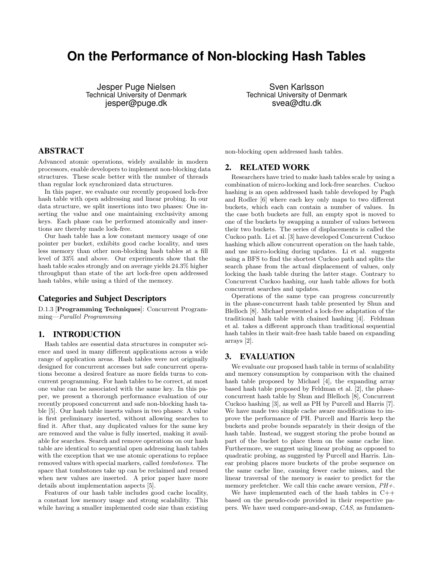# **On the Performance of Non-blocking Hash Tables**

Jesper Puge Nielsen Technical University of Denmark jesper@puge.dk

Sven Karlsson Technical University of Denmark svea@dtu.dk

# ABSTRACT

Advanced atomic operations, widely available in modern processors, enable developers to implement non-blocking data structures. These scale better with the number of threads than regular lock synchronized data structures.

In this paper, we evaluate our recently proposed lock-free hash table with open addressing and linear probing. In our data structure, we split insertions into two phases: One inserting the value and one maintaining exclusivity among keys. Each phase can be performed atomically and insertions are thereby made lock-free.

Our hash table has a low constant memory usage of one pointer per bucket, exhibits good cache locality, and uses less memory than other non-blocking hash tables at a fill level of 33% and above. Our experiments show that the hash table scales strongly and on average yields 24.3% higher throughput than state of the art lock-free open addressed hash tables, while using a third of the memory.

## Categories and Subject Descriptors

D.1.3 [Programming Techniques]: Concurrent Programming—Parallel Programming

## 1. INTRODUCTION

Hash tables are essential data structures in computer science and used in many different applications across a wide range of application areas. Hash tables were not originally designed for concurrent accesses but safe concurrent operations become a desired feature as more fields turns to concurrent programming. For hash tables to be correct, at most one value can be associated with the same key. In this paper, we present a thorough performance evaluation of our recently proposed concurrent and safe non-blocking hash table [5]. Our hash table inserts values in two phases: A value is first preliminary inserted, without allowing searches to find it. After that, any duplicated values for the same key are removed and the value is fully inserted, making it available for searches. Search and remove operations on our hash table are identical to sequential open addressing hash tables with the exception that we use atomic operations to replace removed values with special markers, called tombstones. The space that tombstones take up can be reclaimed and reused when new values are inserted. A prior paper have more details about implementation aspects [5].

Features of our hash table includes good cache locality, a constant low memory usage and strong scalability. This while having a smaller implemented code size than existing non-blocking open addressed hash tables.

## 2. RELATED WORK

Researchers have tried to make hash tables scale by using a combination of micro-locking and lock-free searches. Cuckoo hashing is an open addressed hash table developed by Pagh and Rodler [6] where each key only maps to two different buckets, which each can contain a number of values. In the case both buckets are full, an empty spot is moved to one of the buckets by swapping a number of values between their two buckets. The series of displacements is called the Cuckoo path. Li et al. [3] have developed Concurrent Cuckoo hashing which allow concurrent operation on the hash table, and use micro-locking during updates. Li et al. suggests using a BFS to find the shortest Cuckoo path and splits the search phase from the actual displacement of values, only locking the hash table during the latter stage. Contrary to Concurrent Cuckoo hashing, our hash table allows for both concurrent searches and updates.

Operations of the same type can progress concurrently in the phase-concurrent hash table presented by Shun and Blelloch [8]. Michael presented a lock-free adaptation of the traditional hash table with chained hashing [4]. Feldman et al. takes a different approach than traditional sequential hash tables in their wait-free hash table based on expanding arrays [2].

### 3. EVALUATION

We evaluate our proposed hash table in terms of scalability and memory consumption by comparison with the chained hash table proposed by Michael [4], the expanding array based hash table proposed by Feldman et al. [2], the phaseconcurrent hash table by Shun and Blelloch [8], Concurrent Cuckoo hashing [3], as well as PH by Purcell and Harris [7]. We have made two simple cache aware modifications to improve the performance of PH. Purcell and Harris keep the buckets and probe bounds separately in their design of the hash table. Instead, we suggest storing the probe bound as part of the bucket to place them on the same cache line. Furthermore, we suggest using linear probing as opposed to quadratic probing, as suggested by Purcell and Harris. Linear probing places more buckets of the probe sequence on the same cache line, causing fewer cache misses, and the linear traversal of the memory is easier to predict for the memory prefetcher. We call this cache aware version,  $PH+$ .

We have implemented each of the hash tables in  $C++$ based on the pseudo-code provided in their respective papers. We have used compare-and-swap, CAS, as fundamen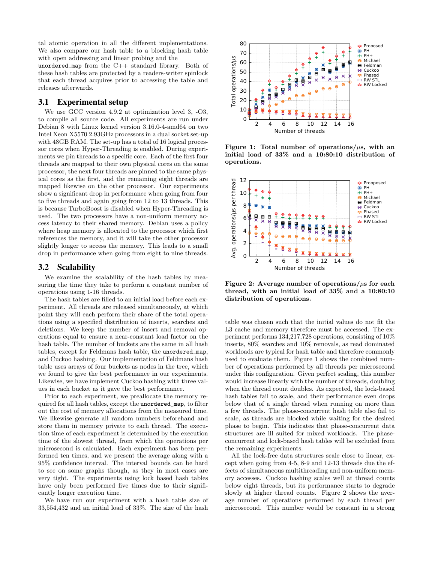tal atomic operation in all the different implementations. We also compare our hash table to a blocking hash table with open addressing and linear probing and the

unordered\_map from the C++ standard library. Both of these hash tables are protected by a readers-writer spinlock that each thread acquires prior to accessing the table and releases afterwards.

## 3.1 Experimental setup

We use GCC version 4.9.2 at optimization level 3, -O3, to compile all source code. All experiments are run under Debian 8 with Linux kernel version 3.16.0-4-amd64 on two Intel Xeon X5570 2.93GHz processors in a dual socket set-up with  $48GB$  RAM. The set-up has a total of 16 logical processor cores when Hyper-Threading is enabled. During experiments we pin threads to a specific core. Each of the first four threads are mapped to their own physical cores on the same processor, the next four threads are pinned to the same physical cores as the first, and the remaining eight threads are mapped likewise on the other processor. Our experiments show a significant drop in performance when going from four to five threads and again going from 12 to 13 threads. This is because TurboBoost is disabled when Hyper-Threading is used. The two processors have a non-uniform memory access latency to their shared memory. Debian uses a policy where heap memory is allocated to the processor which first references the memory, and it will take the other processor slightly longer to access the memory. This leads to a small drop in performance when going from eight to nine threads.

### 3.2 Scalability

We examine the scalability of the hash tables by measuring the time they take to perform a constant number of operations using 1-16 threads.

The hash tables are filled to an initial load before each experiment. All threads are released simultaneously, at which point they will each perform their share of the total operations using a specified distribution of inserts, searches and deletions. We keep the number of insert and removal operations equal to ensure a near-constant load factor on the hash table. The number of buckets are the same in all hash tables, except for Feldmans hash table, the unordered\_map, and Cuckoo hashing. Our implementation of Feldmans hash table uses arrays of four buckets as nodes in the tree, which we found to give the best performance in our experiments. Likewise, we have implement Cuckoo hashing with three values in each bucket as it gave the best performance.

Prior to each experiment, we preallocate the memory required for all hash tables, except the unordered\_map, to filter out the cost of memory allocations from the measured time. We likewise generate all random numbers beforehand and store them in memory private to each thread. The execution time of each experiment is determined by the execution time of the slowest thread, from which the operations per microsecond is calculated. Each experiment has been performed ten times, and we present the average along with a 95% confidence interval. The interval bounds can be hard to see on some graphs though, as they in most cases are very tight. The experiments using lock based hash tables have only been performed five times due to their significantly longer execution time.

We have run our experiment with a hash table size of 33,554,432 and an initial load of 33%. The size of the hash



Figure 1: Total number of operations/ $\mu$ s, with an initial load of 33% and a 10:80:10 distribution of operations.



Figure 2: Average number of operations/ $\mu$ s for each thread, with an initial load of 33% and a 10:80:10 distribution of operations.

table was chosen such that the initial values do not fit the L3 cache and memory therefore must be accessed. The experiment performs 134,217,728 operations, consisting of 10% inserts, 80% searches and 10% removals, as read dominated workloads are typical for hash table and therefore commonly used to evaluate them. Figure 1 shows the combined number of operations performed by all threads per microsecond under this configuration. Given perfect scaling, this number would increase linearly with the number of threads, doubling when the thread count doubles. As expected, the lock-based hash tables fail to scale, and their performance even drops below that of a single thread when running on more than a few threads. The phase-concurrent hash table also fail to scale, as threads are blocked while waiting for the desired phase to begin. This indicates that phase-concurrent data structures are ill suited for mixed workloads. The phaseconcurrent and lock-based hash tables will be excluded from the remaining experiments.

All the lock-free data structures scale close to linear, except when going from 4-5, 8-9 and 12-13 threads due the effects of simultaneous multithreading and non-uniform memory accesses. Cuckoo hashing scales well at thread counts below eight threads, but its performance starts to degrade slowly at higher thread counts. Figure 2 shows the average number of operations performed by each thread per microsecond. This number would be constant in a strong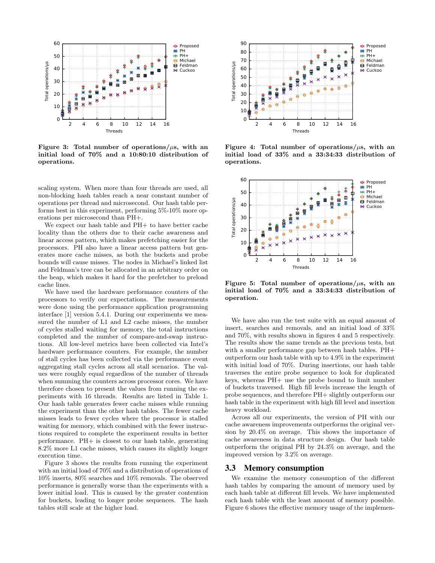

Figure 3: Total number of operations/ $\mu$ s, with an initial load of 70% and a 10:80:10 distribution of operations.

scaling system. When more than four threads are used, all non-blocking hash tables reach a near constant number of operations per thread and microsecond. Our hash table performs best in this experiment, performing 5%-10% more operations per microsecond than PH+.

We expect our hash table and PH+ to have better cache locality than the others due to their cache awareness and linear access pattern, which makes prefetching easier for the processors. PH also have a linear access pattern but generates more cache misses, as both the buckets and probe bounds will cause misses. The nodes in Michael's linked list and Feldman's tree can be allocated in an arbitrary order on the heap, which makes it hard for the prefetcher to preload cache lines.

We have used the hardware performance counters of the processors to verify our expectations. The measurements were done using the performance application programming interface [1] version 5.4.1. During our experiments we measured the number of L1 and L2 cache misses, the number of cycles stalled waiting for memory, the total instructions completed and the number of compare-and-swap instructions. All low-level metrics have been collected via Intel's hardware performance counters. For example, the number of stall cycles has been collected via the performance event aggregating stall cycles across all stall scenarios. The values were roughly equal regardless of the number of threads when summing the counters across processor cores. We have therefore chosen to present the values from running the experiments with 16 threads. Results are listed in Table 1. Our hash table generates fewer cache misses while running the experiment than the other hash tables. The fewer cache misses leads to fewer cycles where the processor is stalled waiting for memory, which combined with the fewer instructions required to complete the experiment results in better performance. PH+ is closest to our hash table, generating 8.2% more L1 cache misses, which causes its slightly longer execution time.

Figure 3 shows the results from running the experiment with an initial load of 70% and a distribution of operations of 10% inserts, 80% searches and 10% removals. The observed performance is generally worse than the experiments with a lower initial load. This is caused by the greater contention for buckets, leading to longer probe sequences. The hash tables still scale at the higher load.



Figure 4: Total number of operations/ $\mu$ s, with an initial load of 33% and a 33:34:33 distribution of operations.



Figure 5: Total number of operations/ $\mu$ s, with an initial load of 70% and a 33:34:33 distribution of operation.

We have also run the test suite with an equal amount of insert, searches and removals, and an initial load of 33% and 70%, with results shown in figures 4 and 5 respectively. The results show the same trends as the previous tests, but with a smaller performance gap between hash tables. PH+ outperform our hash table with up to 4.9% in the experiment with initial load of 70%. During insertions, our hash table traverses the entire probe sequence to look for duplicated keys, whereas PH+ use the probe bound to limit number of buckets traversed. High fill levels increase the length of probe sequences, and therefore PH+ slightly outperform our hash table in the experiment with high fill level and insertion heavy workload.

Across all our experiments, the version of PH with our cache awareness improvements outperforms the original version by 20.4% on average. This shows the importance of cache awareness in data structure design. Our hash table outperform the original PH by 24.3% on average, and the improved version by 3.2% on average.

#### 3.3 Memory consumption

We examine the memory consumption of the different hash tables by comparing the amount of memory used by each hash table at different fill levels. We have implemented each hash table with the least amount of memory possible. Figure 6 shows the effective memory usage of the implemen-